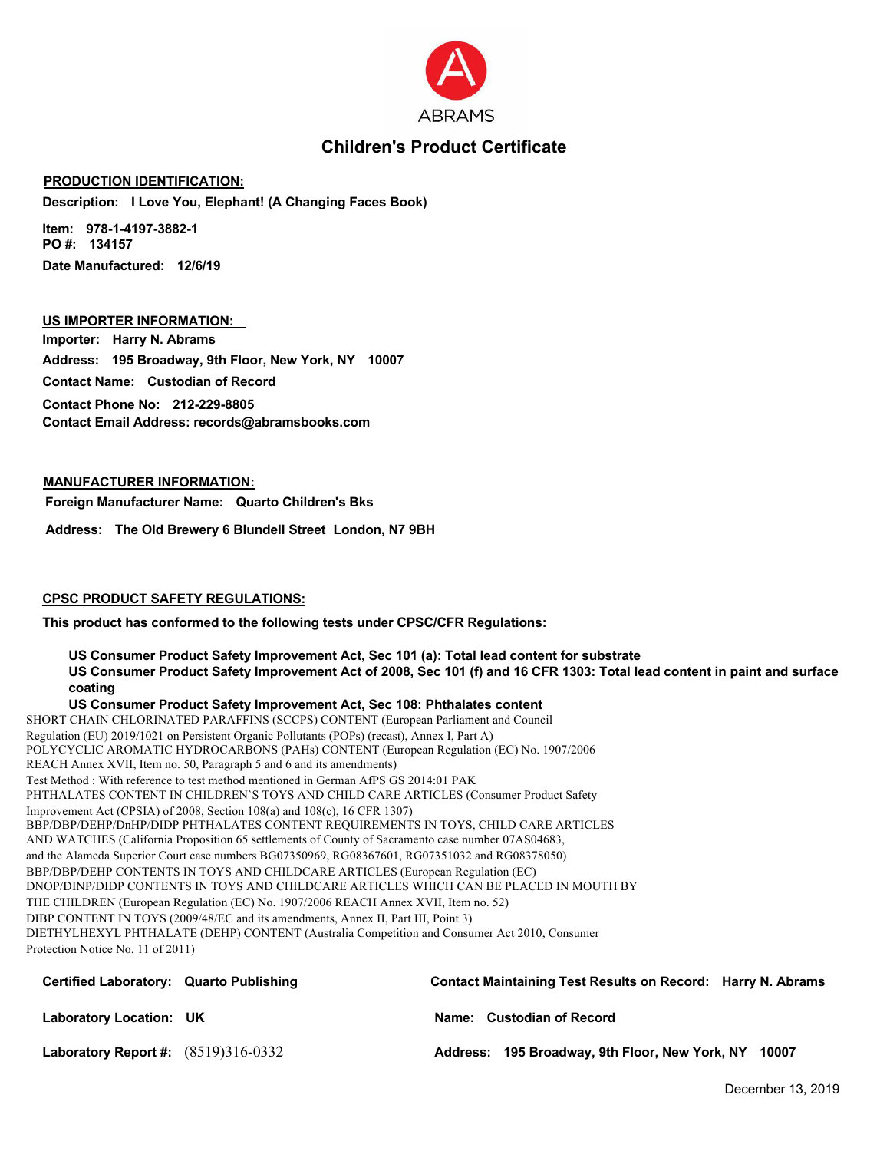

## **Children's Product Certificate**

#### **PRODUCTION IDENTIFICATION:**

**Description: I Love You, Elephant! (A Changing Faces Book)**

**Item: 978-1-4197-3882-1 PO #: 134157 Date Manufactured: 12/6/19**

### **US IMPORTER INFORMATION:**

**Importer: Harry N. Abrams Address: 195 Broadway, 9th Floor, New York, NY 10007 Contact Name: Custodian of Record**

**Contact Phone No: 212-229-8805 Contact Email Address: records@abramsbooks.com**

#### **MANUFACTURER INFORMATION:**

**Foreign Manufacturer Name: Quarto Children's Bks**

**Address: The Old Brewery 6 Blundell Street London, N7 9BH**

#### **CPSC PRODUCT SAFETY REGULATIONS:**

**This product has conformed to the following tests under CPSC/CFR Regulations:**

**US Consumer Product Safety Improvement Act, Sec 101 (a): Total lead content for substrate US Consumer Product Safety Improvement Act of 2008, Sec 101 (f) and 16 CFR 1303: Total lead content in paint and surface coating**

**US Consumer Product Safety Improvement Act, Sec 108: Phthalates content** SHORT CHAIN CHLORINATED PARAFFINS (SCCPS) CONTENT (European Parliament and Council Regulation (EU) 2019/1021 on Persistent Organic Pollutants (POPs) (recast), Annex I, Part A) POLYCYCLIC AROMATIC HYDROCARBONS (PAHs) CONTENT (European Regulation (EC) No. 1907/2006 REACH Annex XVII, Item no. 50, Paragraph 5 and 6 and its amendments) Test Method : With reference to test method mentioned in German AfPS GS 2014:01 PAK PHTHALATES CONTENT IN CHILDREN`S TOYS AND CHILD CARE ARTICLES (Consumer Product Safety Improvement Act (CPSIA) of 2008, Section 108(a) and 108(c), 16 CFR 1307) BBP/DBP/DEHP/DnHP/DIDP PHTHALATES CONTENT REQUIREMENTS IN TOYS, CHILD CARE ARTICLES AND WATCHES (California Proposition 65 settlements of County of Sacramento case number 07AS04683, and the Alameda Superior Court case numbers BG07350969, RG08367601, RG07351032 and RG08378050) BBP/DBP/DEHP CONTENTS IN TOYS AND CHILDCARE ARTICLES (European Regulation (EC) DNOP/DINP/DIDP CONTENTS IN TOYS AND CHILDCARE ARTICLES WHICH CAN BE PLACED IN MOUTH BY THE CHILDREN (European Regulation (EC) No. 1907/2006 REACH Annex XVII, Item no. 52) DIBP CONTENT IN TOYS (2009/48/EC and its amendments, Annex II, Part III, Point 3) DIETHYLHEXYL PHTHALATE (DEHP) CONTENT (Australia Competition and Consumer Act 2010, Consumer Protection Notice No. 11 of 2011)

| Certified Laboratory: Quarto Publishing | <b>Contact Maintaining Test Results on Record: Harry N. Abrams</b> |
|-----------------------------------------|--------------------------------------------------------------------|
| Laboratory Location: UK                 | Name: Custodian of Record                                          |
| Laboratory Report #: $(8519)316-0332$   | Address: 195 Broadway, 9th Floor, New York, NY 10007               |